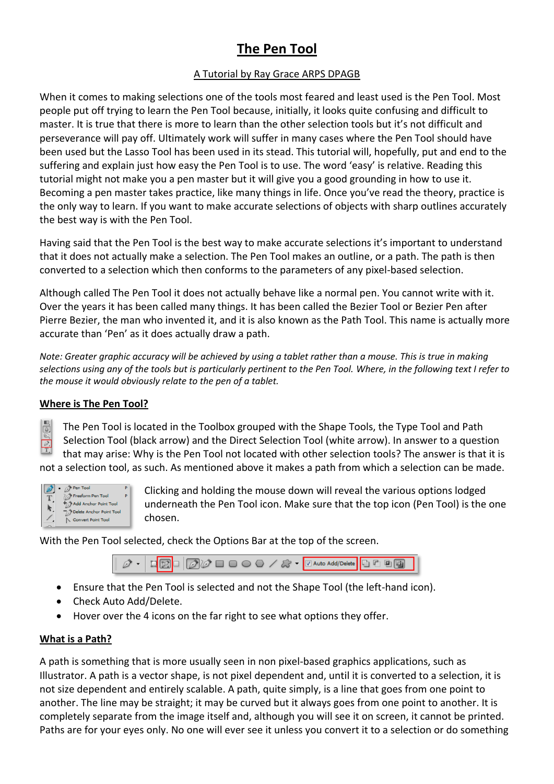# **The Pen Tool**

# A Tutorial by Ray Grace ARPS DPAGB

When it comes to making selections one of the tools most feared and least used is the Pen Tool. Most people put off trying to learn the Pen Tool because, initially, it looks quite confusing and difficult to master. It is true that there is more to learn than the other selection tools but it's not difficult and perseverance will pay off. Ultimately work will suffer in many cases where the Pen Tool should have been used but the Lasso Tool has been used in its stead. This tutorial will, hopefully, put and end to the suffering and explain just how easy the Pen Tool is to use. The word 'easy' is relative. Reading this tutorial might not make you a pen master but it will give you a good grounding in how to use it. Becoming a pen master takes practice, like many things in life. Once you've read the theory, practice is the only way to learn. If you want to make accurate selections of objects with sharp outlines accurately the best way is with the Pen Tool.

Having said that the Pen Tool is the best way to make accurate selections it's important to understand that it does not actually make a selection. The Pen Tool makes an outline, or a path. The path is then converted to a selection which then conforms to the parameters of any pixel-based selection.

Although called The Pen Tool it does not actually behave like a normal pen. You cannot write with it. Over the years it has been called many things. It has been called the Bezier Tool or Bezier Pen after Pierre Bezier, the man who invented it, and it is also known as the Path Tool. This name is actually more accurate than 'Pen' as it does actually draw a path.

*Note: Greater graphic accuracy will be achieved by using a tablet rather than a mouse. This is true in making selections using any of the tools but is particularly pertinent to the Pen Tool. Where, in the following text I refer to the mouse it would obviously relate to the pen of a tablet.*

# **Where is The Pen Tool?**

 $\overline{\mathbb{G}}$ The Pen Tool is located in the Toolbox grouped with the Shape Tools, the Type Tool and Path Selection Tool (black arrow) and the Direct Selection Tool (white arrow). In answer to a question  $\frac{1}{T}$ that may arise: Why is the Pen Tool not located with other selection tools? The answer is that it is not a selection tool, as such. As mentioned above it makes a path from which a selection can be made.



Clicking and holding the mouse down will reveal the various options lodged underneath the Pen Tool icon. Make sure that the top icon (Pen Tool) is the one chosen.

With the Pen Tool selected, check the Options Bar at the top of the screen.



- Ensure that the Pen Tool is selected and not the Shape Tool (the left-hand icon).
- Check Auto Add/Delete.
- Hover over the 4 icons on the far right to see what options they offer.

#### **What is a Path?**

A path is something that is more usually seen in non pixel-based graphics applications, such as Illustrator. A path is a vector shape, is not pixel dependent and, until it is converted to a selection, it is not size dependent and entirely scalable. A path, quite simply, is a line that goes from one point to another. The line may be straight; it may be curved but it always goes from one point to another. It is completely separate from the image itself and, although you will see it on screen, it cannot be printed. Paths are for your eyes only. No one will ever see it unless you convert it to a selection or do something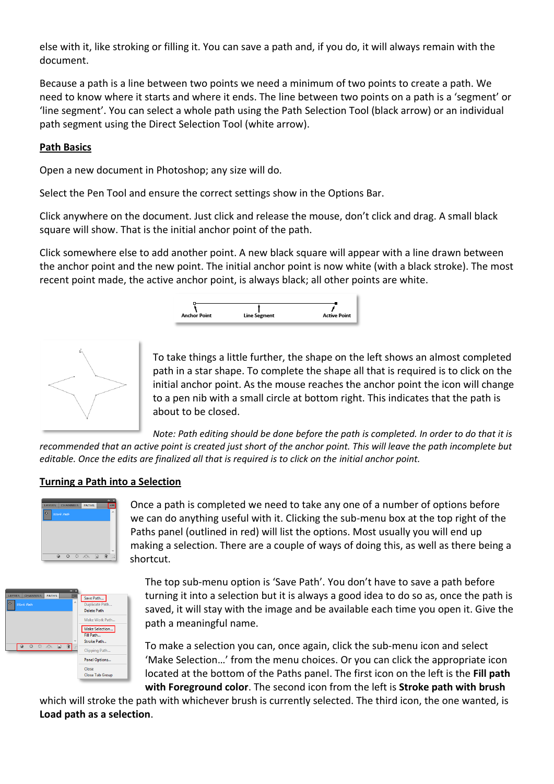else with it, like stroking or filling it. You can save a path and, if you do, it will always remain with the document.

Because a path is a line between two points we need a minimum of two points to create a path. We need to know where it starts and where it ends. The line between two points on a path is a 'segment' or 'line segment'. You can select a whole path using the Path Selection Tool (black arrow) or an individual path segment using the Direct Selection Tool (white arrow).

#### **Path Basics**

Open a new document in Photoshop; any size will do.

Select the Pen Tool and ensure the correct settings show in the Options Bar.

Click anywhere on the document. Just click and release the mouse, don't click and drag. A small black square will show. That is the initial anchor point of the path.

Click somewhere else to add another point. A new black square will appear with a line drawn between the anchor point and the new point. The initial anchor point is now white (with a black stroke). The most recent point made, the active anchor point, is always black; all other points are white.





To take things a little further, the shape on the left shows an almost completed path in a star shape. To complete the shape all that is required is to click on the initial anchor point. As the mouse reaches the anchor point the icon will change to a pen nib with a small circle at bottom right. This indicates that the path is about to be closed.

*Note: Path editing should be done before the path is completed. In order to do that it is recommended that an active point is created just short of the anchor point. This will leave the path incomplete but editable. Once the edits are finalized all that is required is to click on the initial anchor point.*

#### **Turning a Path into a Selection**



Once a path is completed we need to take any one of a number of options before we can do anything useful with it. Clicking the sub-menu box at the top right of the Paths panel (outlined in red) will list the options. Most usually you will end up making a selection. There are a couple of ways of doing this, as well as there being a shortcut.



The top sub-menu option is 'Save Path'. You don't have to save a path before turning it into a selection but it is always a good idea to do so as, once the path is saved, it will stay with the image and be available each time you open it. Give the path a meaningful name.

To make a selection you can, once again, click the sub-menu icon and select 'Make Selection…' from the menu choices. Or you can click the appropriate icon located at the bottom of the Paths panel. The first icon on the left is the **Fill path with Foreground color**. The second icon from the left is **Stroke path with brush**

which will stroke the path with whichever brush is currently selected. The third icon, the one wanted, is **Load path as a selection**.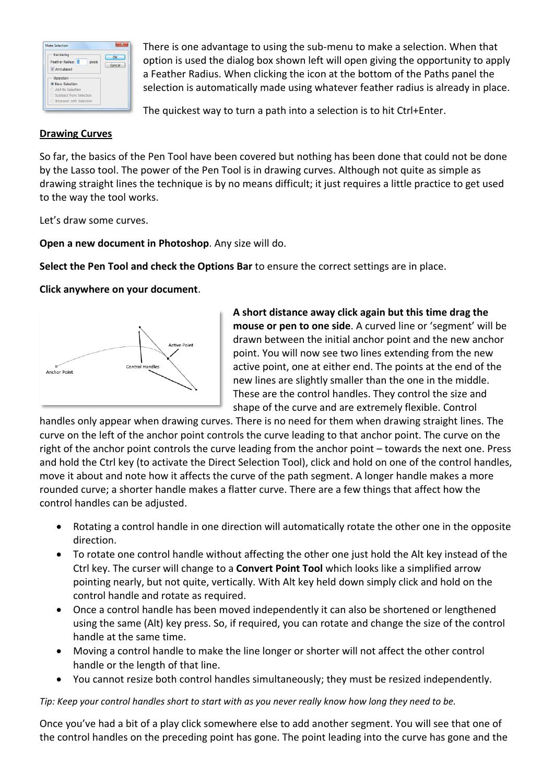| Rendering<br>Feather Radius: Fl<br>pixels | OK<br>Cancel |
|-------------------------------------------|--------------|
| V Anti-alased                             |              |
| Operation<br><sup>O</sup> New Selection   |              |
| Add to Selection                          |              |
| Subtract from Selection                   |              |
| <b>C</b> Intersect with Selection         |              |

There is one advantage to using the sub-menu to make a selection. When that option is used the dialog box shown left will open giving the opportunity to apply a Feather Radius. When clicking the icon at the bottom of the Paths panel the selection is automatically made using whatever feather radius is already in place.

The quickest way to turn a path into a selection is to hit Ctrl+Enter.

#### **Drawing Curves**

So far, the basics of the Pen Tool have been covered but nothing has been done that could not be done by the Lasso tool. The power of the Pen Tool is in drawing curves. Although not quite as simple as drawing straight lines the technique is by no means difficult; it just requires a little practice to get used to the way the tool works.

Let's draw some curves.

**Open a new document in Photoshop**. Any size will do.

**Select the Pen Tool and check the Options Bar** to ensure the correct settings are in place.

## **Click anywhere on your document**.



**A short distance away click again but this time drag the mouse or pen to one side**. A curved line or 'segment' will be drawn between the initial anchor point and the new anchor point. You will now see two lines extending from the new active point, one at either end. The points at the end of the new lines are slightly smaller than the one in the middle. These are the control handles. They control the size and shape of the curve and are extremely flexible. Control

handles only appear when drawing curves. There is no need for them when drawing straight lines. The curve on the left of the anchor point controls the curve leading to that anchor point. The curve on the right of the anchor point controls the curve leading from the anchor point – towards the next one. Press and hold the Ctrl key (to activate the Direct Selection Tool), click and hold on one of the control handles, move it about and note how it affects the curve of the path segment. A longer handle makes a more rounded curve; a shorter handle makes a flatter curve. There are a few things that affect how the control handles can be adjusted.

- Rotating a control handle in one direction will automatically rotate the other one in the opposite direction.
- To rotate one control handle without affecting the other one just hold the Alt key instead of the Ctrl key. The curser will change to a **Convert Point Tool** which looks like a simplified arrow pointing nearly, but not quite, vertically. With Alt key held down simply click and hold on the control handle and rotate as required.
- Once a control handle has been moved independently it can also be shortened or lengthened using the same (Alt) key press. So, if required, you can rotate and change the size of the control handle at the same time.
- Moving a control handle to make the line longer or shorter will not affect the other control handle or the length of that line.
- You cannot resize both control handles simultaneously; they must be resized independently.

*Tip: Keep your control handles short to start with as you never really know how long they need to be.*

Once you've had a bit of a play click somewhere else to add another segment. You will see that one of the control handles on the preceding point has gone. The point leading into the curve has gone and the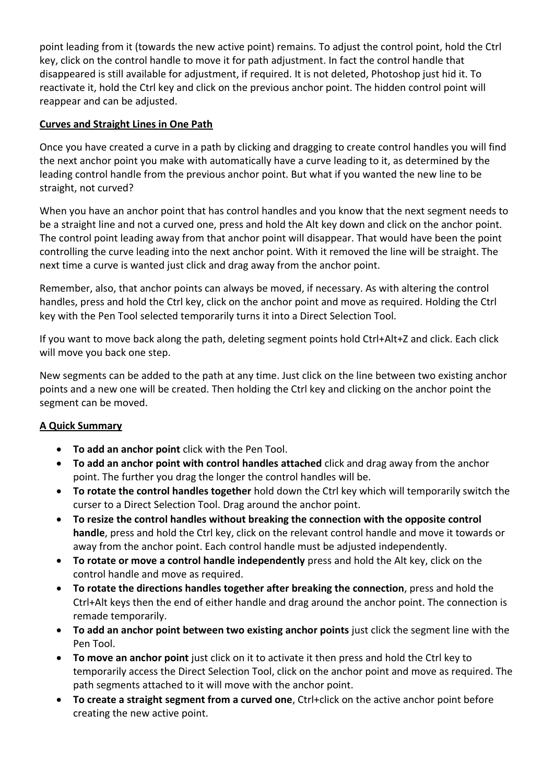point leading from it (towards the new active point) remains. To adjust the control point, hold the Ctrl key, click on the control handle to move it for path adjustment. In fact the control handle that disappeared is still available for adjustment, if required. It is not deleted, Photoshop just hid it. To reactivate it, hold the Ctrl key and click on the previous anchor point. The hidden control point will reappear and can be adjusted.

## **Curves and Straight Lines in One Path**

Once you have created a curve in a path by clicking and dragging to create control handles you will find the next anchor point you make with automatically have a curve leading to it, as determined by the leading control handle from the previous anchor point. But what if you wanted the new line to be straight, not curved?

When you have an anchor point that has control handles and you know that the next segment needs to be a straight line and not a curved one, press and hold the Alt key down and click on the anchor point. The control point leading away from that anchor point will disappear. That would have been the point controlling the curve leading into the next anchor point. With it removed the line will be straight. The next time a curve is wanted just click and drag away from the anchor point.

Remember, also, that anchor points can always be moved, if necessary. As with altering the control handles, press and hold the Ctrl key, click on the anchor point and move as required. Holding the Ctrl key with the Pen Tool selected temporarily turns it into a Direct Selection Tool.

If you want to move back along the path, deleting segment points hold Ctrl+Alt+Z and click. Each click will move you back one step.

New segments can be added to the path at any time. Just click on the line between two existing anchor points and a new one will be created. Then holding the Ctrl key and clicking on the anchor point the segment can be moved.

# **A Quick Summary**

- **To add an anchor point** click with the Pen Tool.
- **To add an anchor point with control handles attached** click and drag away from the anchor point. The further you drag the longer the control handles will be.
- **To rotate the control handles together** hold down the Ctrl key which will temporarily switch the curser to a Direct Selection Tool. Drag around the anchor point.
- **To resize the control handles without breaking the connection with the opposite control handle**, press and hold the Ctrl key, click on the relevant control handle and move it towards or away from the anchor point. Each control handle must be adjusted independently.
- **To rotate or move a control handle independently** press and hold the Alt key, click on the control handle and move as required.
- **To rotate the directions handles together after breaking the connection**, press and hold the Ctrl+Alt keys then the end of either handle and drag around the anchor point. The connection is remade temporarily.
- **To add an anchor point between two existing anchor points** just click the segment line with the Pen Tool.
- **To move an anchor point** just click on it to activate it then press and hold the Ctrl key to temporarily access the Direct Selection Tool, click on the anchor point and move as required. The path segments attached to it will move with the anchor point.
- **To create a straight segment from a curved one**, Ctrl+click on the active anchor point before creating the new active point.